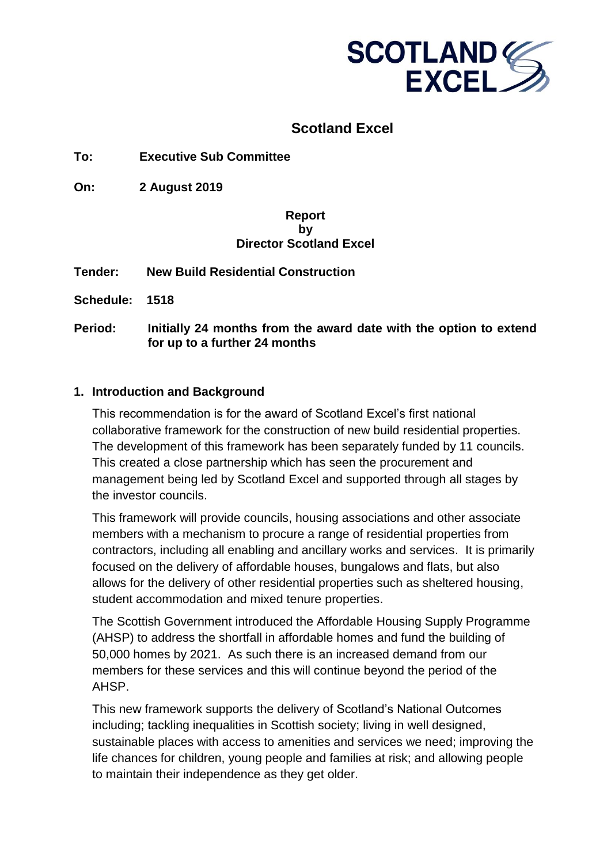

## **Scotland Excel**

**To: Executive Sub Committee**

**On: 2 August 2019** 

#### **Report by Director Scotland Excel**

**Tender: New Build Residential Construction** 

**Schedule: 1518**

**Period: Initially 24 months from the award date with the option to extend for up to a further 24 months**

#### **1. Introduction and Background**

This recommendation is for the award of Scotland Excel's first national collaborative framework for the construction of new build residential properties. The development of this framework has been separately funded by 11 councils. This created a close partnership which has seen the procurement and management being led by Scotland Excel and supported through all stages by the investor councils.

This framework will provide councils, housing associations and other associate members with a mechanism to procure a range of residential properties from contractors, including all enabling and ancillary works and services. It is primarily focused on the delivery of affordable houses, bungalows and flats, but also allows for the delivery of other residential properties such as sheltered housing, student accommodation and mixed tenure properties.

The Scottish Government introduced the Affordable Housing Supply Programme (AHSP) to address the shortfall in affordable homes and fund the building of 50,000 homes by 2021. As such there is an increased demand from our members for these services and this will continue beyond the period of the AHSP.

This new framework supports the delivery of Scotland's National Outcomes including; tackling inequalities in Scottish society; living in well designed, sustainable places with access to amenities and services we need; improving the life chances for children, young people and families at risk; and allowing people to maintain their independence as they get older.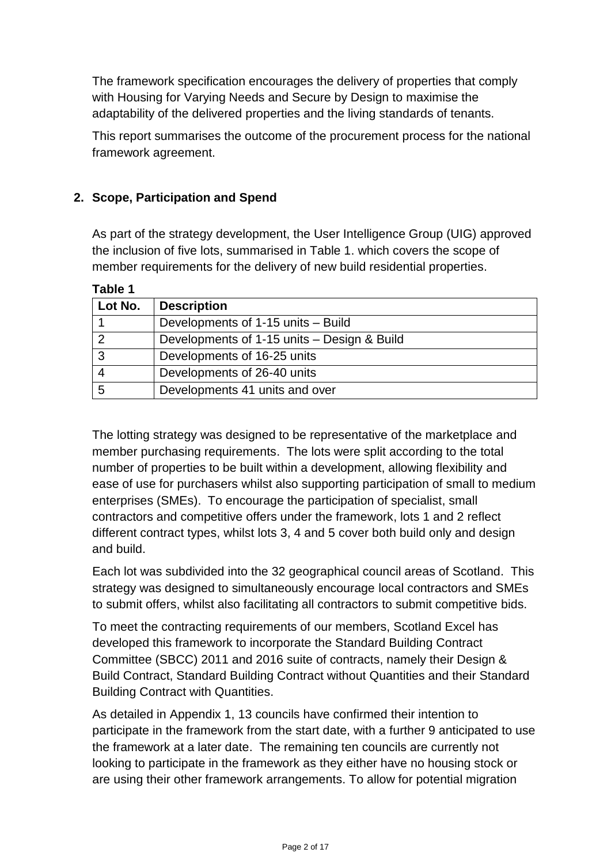The framework specification encourages the delivery of properties that comply with Housing for Varying Needs and Secure by Design to maximise the adaptability of the delivered properties and the living standards of tenants.

This report summarises the outcome of the procurement process for the national framework agreement.

### **2. Scope, Participation and Spend**

As part of the strategy development, the User Intelligence Group (UIG) approved the inclusion of five lots, summarised in Table 1. which covers the scope of member requirements for the delivery of new build residential properties.

| Lot No. | <b>Description</b>                          |
|---------|---------------------------------------------|
|         | Developments of 1-15 units - Build          |
|         | Developments of 1-15 units – Design & Build |
|         | Developments of 16-25 units                 |
|         | Developments of 26-40 units                 |
|         | Developments 41 units and over              |

**Table 1**

The lotting strategy was designed to be representative of the marketplace and member purchasing requirements. The lots were split according to the total number of properties to be built within a development, allowing flexibility and ease of use for purchasers whilst also supporting participation of small to medium enterprises (SMEs). To encourage the participation of specialist, small contractors and competitive offers under the framework, lots 1 and 2 reflect different contract types, whilst lots 3, 4 and 5 cover both build only and design and build.

Each lot was subdivided into the 32 geographical council areas of Scotland. This strategy was designed to simultaneously encourage local contractors and SMEs to submit offers, whilst also facilitating all contractors to submit competitive bids.

To meet the contracting requirements of our members, Scotland Excel has developed this framework to incorporate the Standard Building Contract Committee (SBCC) 2011 and 2016 suite of contracts, namely their Design & Build Contract, Standard Building Contract without Quantities and their Standard Building Contract with Quantities.

As detailed in Appendix 1, 13 councils have confirmed their intention to participate in the framework from the start date, with a further 9 anticipated to use the framework at a later date. The remaining ten councils are currently not looking to participate in the framework as they either have no housing stock or are using their other framework arrangements. To allow for potential migration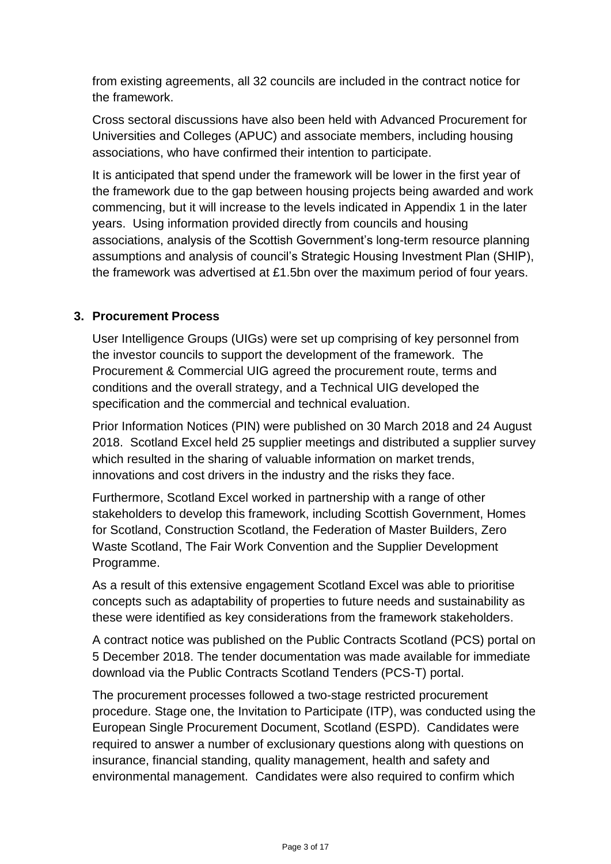from existing agreements, all 32 councils are included in the contract notice for the framework.

Cross sectoral discussions have also been held with Advanced Procurement for Universities and Colleges (APUC) and associate members, including housing associations, who have confirmed their intention to participate.

It is anticipated that spend under the framework will be lower in the first year of the framework due to the gap between housing projects being awarded and work commencing, but it will increase to the levels indicated in Appendix 1 in the later years. Using information provided directly from councils and housing associations, analysis of the Scottish Government's long-term resource planning assumptions and analysis of council's Strategic Housing Investment Plan (SHIP), the framework was advertised at £1.5bn over the maximum period of four years.

#### **3. Procurement Process**

User Intelligence Groups (UIGs) were set up comprising of key personnel from the investor councils to support the development of the framework. The Procurement & Commercial UIG agreed the procurement route, terms and conditions and the overall strategy, and a Technical UIG developed the specification and the commercial and technical evaluation.

Prior Information Notices (PIN) were published on 30 March 2018 and 24 August 2018. Scotland Excel held 25 supplier meetings and distributed a supplier survey which resulted in the sharing of valuable information on market trends, innovations and cost drivers in the industry and the risks they face.

Furthermore, Scotland Excel worked in partnership with a range of other stakeholders to develop this framework, including Scottish Government, Homes for Scotland, Construction Scotland, the Federation of Master Builders, Zero Waste Scotland, The Fair Work Convention and the Supplier Development Programme.

As a result of this extensive engagement Scotland Excel was able to prioritise concepts such as adaptability of properties to future needs and sustainability as these were identified as key considerations from the framework stakeholders.

A contract notice was published on the Public Contracts Scotland (PCS) portal on 5 December 2018. The tender documentation was made available for immediate download via the Public Contracts Scotland Tenders (PCS-T) portal.

The procurement processes followed a two-stage restricted procurement procedure. Stage one, the Invitation to Participate (ITP), was conducted using the European Single Procurement Document, Scotland (ESPD). Candidates were required to answer a number of exclusionary questions along with questions on insurance, financial standing, quality management, health and safety and environmental management. Candidates were also required to confirm which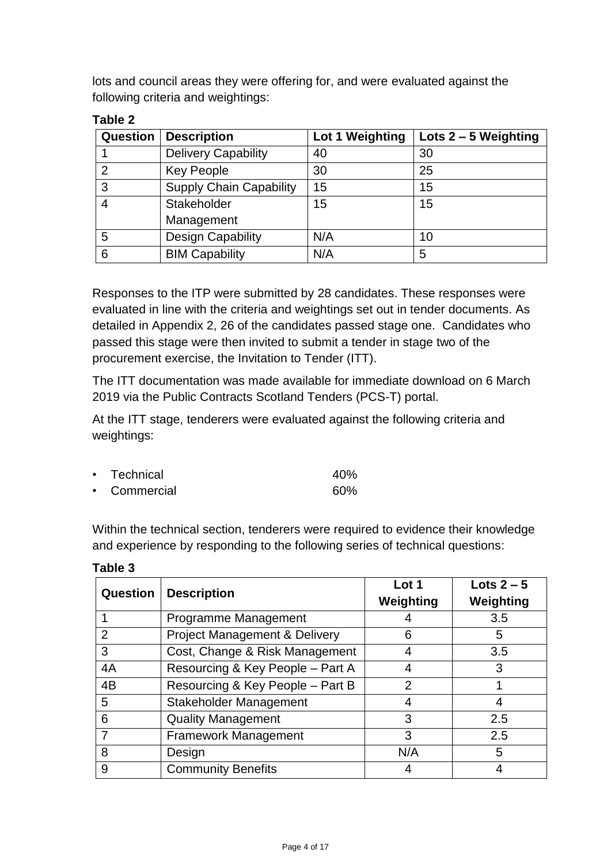lots and council areas they were offering for, and were evaluated against the following criteria and weightings:

| <b>Question</b> | <b>Description</b>             | Lot 1 Weighting | Lots $2 - 5$ Weighting |
|-----------------|--------------------------------|-----------------|------------------------|
|                 | <b>Delivery Capability</b>     | 40              | 30                     |
| $\overline{2}$  | <b>Key People</b>              | 30              | 25                     |
| 3               | <b>Supply Chain Capability</b> | 15              | 15                     |
| $\overline{4}$  | Stakeholder                    | 15              | 15                     |
|                 | Management                     |                 |                        |
| 5               | <b>Design Capability</b>       | N/A             | 10                     |
| 6               | <b>BIM Capability</b>          | N/A             | 5                      |

### **Table 2**

Responses to the ITP were submitted by 28 candidates. These responses were evaluated in line with the criteria and weightings set out in tender documents. As detailed in Appendix 2, 26 of the candidates passed stage one. Candidates who passed this stage were then invited to submit a tender in stage two of the procurement exercise, the Invitation to Tender (ITT).

The ITT documentation was made available for immediate download on 6 March 2019 via the Public Contracts Scotland Tenders (PCS-T) portal.

At the ITT stage, tenderers were evaluated against the following criteria and weightings:

| • Technical  | 40% |
|--------------|-----|
| • Commercial | 60% |

Within the technical section, tenderers were required to evidence their knowledge and experience by responding to the following series of technical questions:

| Question | <b>Description</b>                       | Lot 1<br>Weighting | Lots $2-5$<br>Weighting |
|----------|------------------------------------------|--------------------|-------------------------|
|          | Programme Management                     |                    | 3.5                     |
| 2        | <b>Project Management &amp; Delivery</b> | 6                  | 5                       |
| 3        | Cost, Change & Risk Management           | 4                  | 3.5                     |
| 4A       | Resourcing & Key People - Part A         | 4                  | 3                       |
| 4B       | Resourcing & Key People - Part B         | $\overline{2}$     |                         |
| 5        | Stakeholder Management                   |                    |                         |
| 6        | <b>Quality Management</b>                | 3                  | 2.5                     |
|          | <b>Framework Management</b>              | 3                  | 2.5                     |
| 8        | Design                                   | N/A                | 5                       |
| 9        | <b>Community Benefits</b>                |                    |                         |

**Table 3**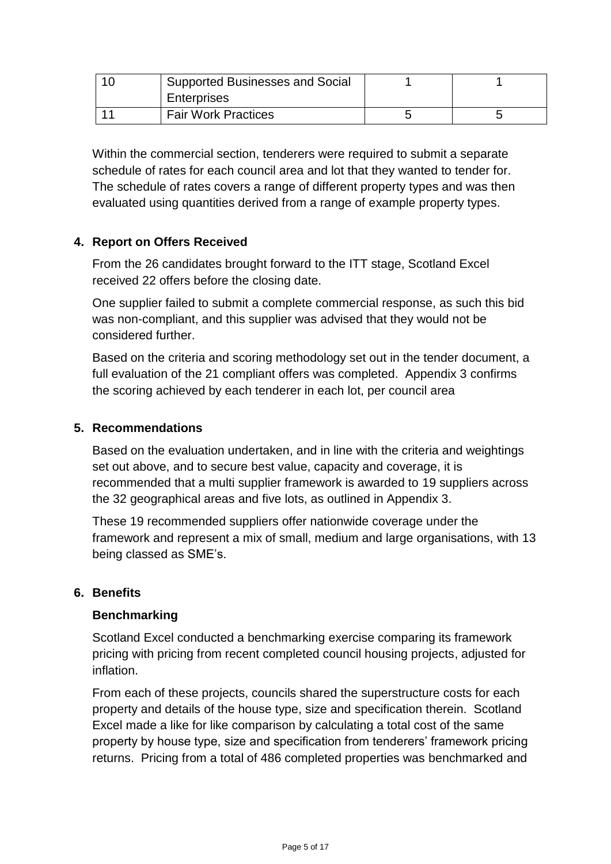| Supported Businesses and Social |  |
|---------------------------------|--|
| <b>Enterprises</b>              |  |
| <b>Fair Work Practices</b>      |  |

Within the commercial section, tenderers were required to submit a separate schedule of rates for each council area and lot that they wanted to tender for. The schedule of rates covers a range of different property types and was then evaluated using quantities derived from a range of example property types.

### **4. Report on Offers Received**

From the 26 candidates brought forward to the ITT stage, Scotland Excel received 22 offers before the closing date.

One supplier failed to submit a complete commercial response, as such this bid was non-compliant, and this supplier was advised that they would not be considered further.

Based on the criteria and scoring methodology set out in the tender document, a full evaluation of the 21 compliant offers was completed. Appendix 3 confirms the scoring achieved by each tenderer in each lot, per council area

#### **5. Recommendations**

Based on the evaluation undertaken, and in line with the criteria and weightings set out above, and to secure best value, capacity and coverage, it is recommended that a multi supplier framework is awarded to 19 suppliers across the 32 geographical areas and five lots, as outlined in Appendix 3.

These 19 recommended suppliers offer nationwide coverage under the framework and represent a mix of small, medium and large organisations, with 13 being classed as SME's.

#### **6. Benefits**

#### **Benchmarking**

Scotland Excel conducted a benchmarking exercise comparing its framework pricing with pricing from recent completed council housing projects, adjusted for inflation.

From each of these projects, councils shared the superstructure costs for each property and details of the house type, size and specification therein. Scotland Excel made a like for like comparison by calculating a total cost of the same property by house type, size and specification from tenderers' framework pricing returns. Pricing from a total of 486 completed properties was benchmarked and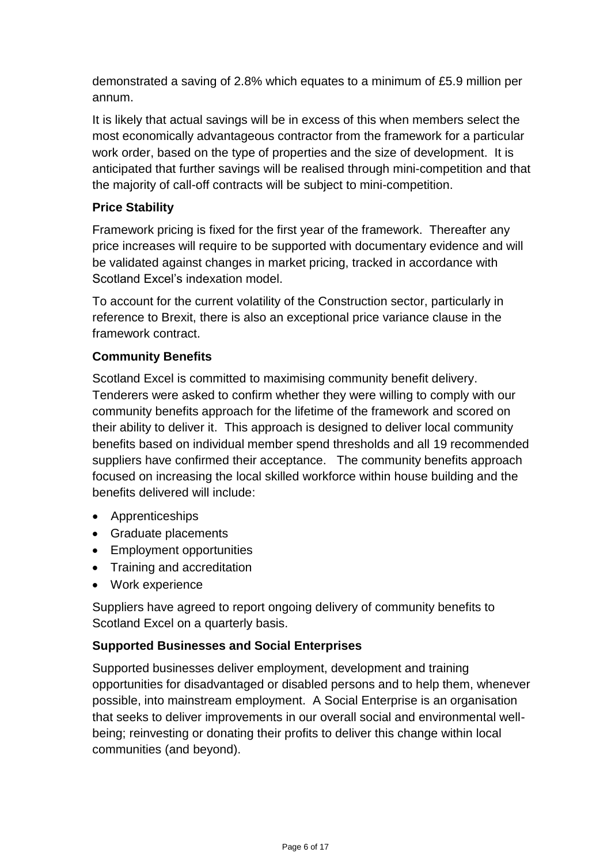demonstrated a saving of 2.8% which equates to a minimum of £5.9 million per annum.

It is likely that actual savings will be in excess of this when members select the most economically advantageous contractor from the framework for a particular work order, based on the type of properties and the size of development. It is anticipated that further savings will be realised through mini-competition and that the majority of call-off contracts will be subject to mini-competition.

#### **Price Stability**

Framework pricing is fixed for the first year of the framework. Thereafter any price increases will require to be supported with documentary evidence and will be validated against changes in market pricing, tracked in accordance with Scotland Excel's indexation model.

To account for the current volatility of the Construction sector, particularly in reference to Brexit, there is also an exceptional price variance clause in the framework contract.

### **Community Benefits**

Scotland Excel is committed to maximising community benefit delivery. Tenderers were asked to confirm whether they were willing to comply with our community benefits approach for the lifetime of the framework and scored on their ability to deliver it. This approach is designed to deliver local community benefits based on individual member spend thresholds and all 19 recommended suppliers have confirmed their acceptance. The community benefits approach focused on increasing the local skilled workforce within house building and the benefits delivered will include:

- Apprenticeships
- Graduate placements
- Employment opportunities
- Training and accreditation
- Work experience

Suppliers have agreed to report ongoing delivery of community benefits to Scotland Excel on a quarterly basis.

#### **Supported Businesses and Social Enterprises**

Supported businesses deliver employment, development and training opportunities for disadvantaged or disabled persons and to help them, whenever possible, into mainstream employment. A Social Enterprise is an organisation that seeks to deliver improvements in our overall social and environmental wellbeing; reinvesting or donating their profits to deliver this change within local communities (and beyond).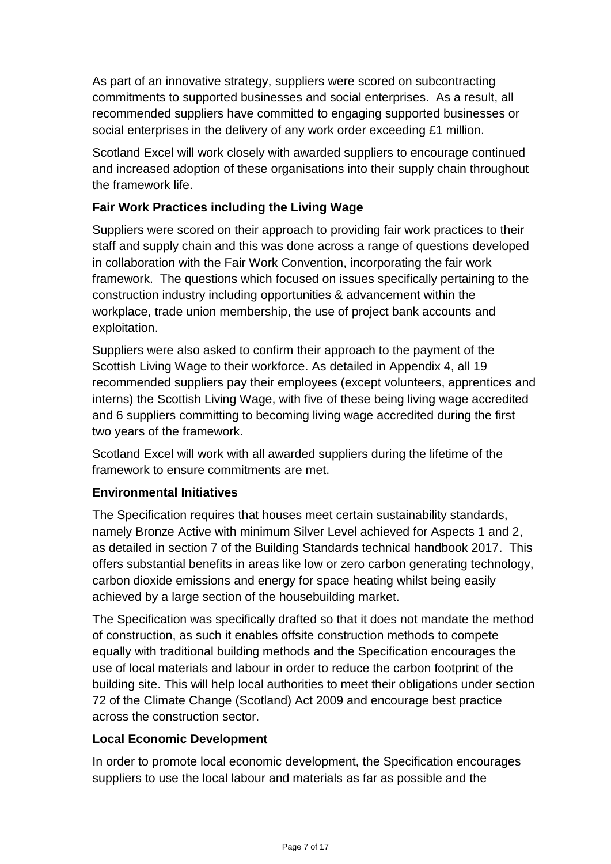As part of an innovative strategy, suppliers were scored on subcontracting commitments to supported businesses and social enterprises. As a result, all recommended suppliers have committed to engaging supported businesses or social enterprises in the delivery of any work order exceeding £1 million.

Scotland Excel will work closely with awarded suppliers to encourage continued and increased adoption of these organisations into their supply chain throughout the framework life.

### **Fair Work Practices including the Living Wage**

Suppliers were scored on their approach to providing fair work practices to their staff and supply chain and this was done across a range of questions developed in collaboration with the Fair Work Convention, incorporating the fair work framework. The questions which focused on issues specifically pertaining to the construction industry including opportunities & advancement within the workplace, trade union membership, the use of project bank accounts and exploitation.

Suppliers were also asked to confirm their approach to the payment of the Scottish Living Wage to their workforce. As detailed in Appendix 4, all 19 recommended suppliers pay their employees (except volunteers, apprentices and interns) the Scottish Living Wage, with five of these being living wage accredited and 6 suppliers committing to becoming living wage accredited during the first two years of the framework.

Scotland Excel will work with all awarded suppliers during the lifetime of the framework to ensure commitments are met.

#### **Environmental Initiatives**

The Specification requires that houses meet certain sustainability standards, namely Bronze Active with minimum Silver Level achieved for Aspects 1 and 2, as detailed in section 7 of the Building Standards technical handbook 2017. This offers substantial benefits in areas like low or zero carbon generating technology, carbon dioxide emissions and energy for space heating whilst being easily achieved by a large section of the housebuilding market.

The Specification was specifically drafted so that it does not mandate the method of construction, as such it enables offsite construction methods to compete equally with traditional building methods and the Specification encourages the use of local materials and labour in order to reduce the carbon footprint of the building site. This will help local authorities to meet their obligations under section 72 of the Climate Change (Scotland) Act 2009 and encourage best practice across the construction sector.

#### **Local Economic Development**

In order to promote local economic development, the Specification encourages suppliers to use the local labour and materials as far as possible and the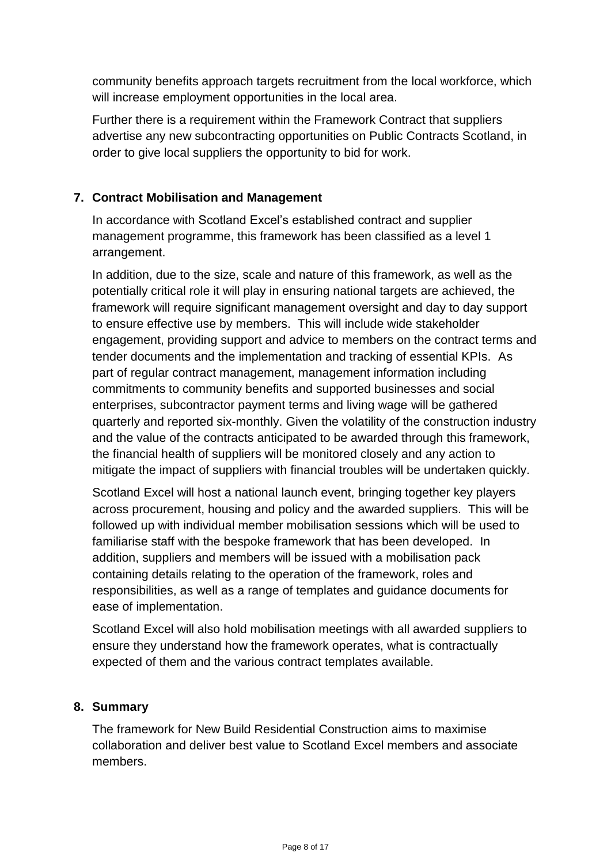community benefits approach targets recruitment from the local workforce, which will increase employment opportunities in the local area.

Further there is a requirement within the Framework Contract that suppliers advertise any new subcontracting opportunities on Public Contracts Scotland, in order to give local suppliers the opportunity to bid for work.

#### **7. Contract Mobilisation and Management**

In accordance with Scotland Excel's established contract and supplier management programme, this framework has been classified as a level 1 arrangement.

In addition, due to the size, scale and nature of this framework, as well as the potentially critical role it will play in ensuring national targets are achieved, the framework will require significant management oversight and day to day support to ensure effective use by members. This will include wide stakeholder engagement, providing support and advice to members on the contract terms and tender documents and the implementation and tracking of essential KPIs. As part of regular contract management, management information including commitments to community benefits and supported businesses and social enterprises, subcontractor payment terms and living wage will be gathered quarterly and reported six-monthly. Given the volatility of the construction industry and the value of the contracts anticipated to be awarded through this framework, the financial health of suppliers will be monitored closely and any action to mitigate the impact of suppliers with financial troubles will be undertaken quickly.

Scotland Excel will host a national launch event, bringing together key players across procurement, housing and policy and the awarded suppliers. This will be followed up with individual member mobilisation sessions which will be used to familiarise staff with the bespoke framework that has been developed. In addition, suppliers and members will be issued with a mobilisation pack containing details relating to the operation of the framework, roles and responsibilities, as well as a range of templates and guidance documents for ease of implementation.

Scotland Excel will also hold mobilisation meetings with all awarded suppliers to ensure they understand how the framework operates, what is contractually expected of them and the various contract templates available.

#### **8. Summary**

The framework for New Build Residential Construction aims to maximise collaboration and deliver best value to Scotland Excel members and associate members.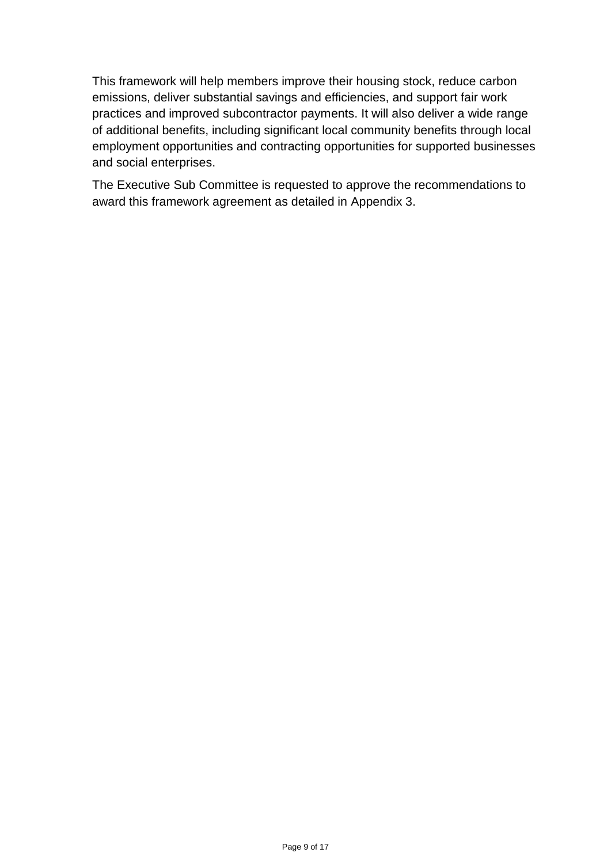This framework will help members improve their housing stock, reduce carbon emissions, deliver substantial savings and efficiencies, and support fair work practices and improved subcontractor payments. It will also deliver a wide range of additional benefits, including significant local community benefits through local employment opportunities and contracting opportunities for supported businesses and social enterprises.

The Executive Sub Committee is requested to approve the recommendations to award this framework agreement as detailed in Appendix 3.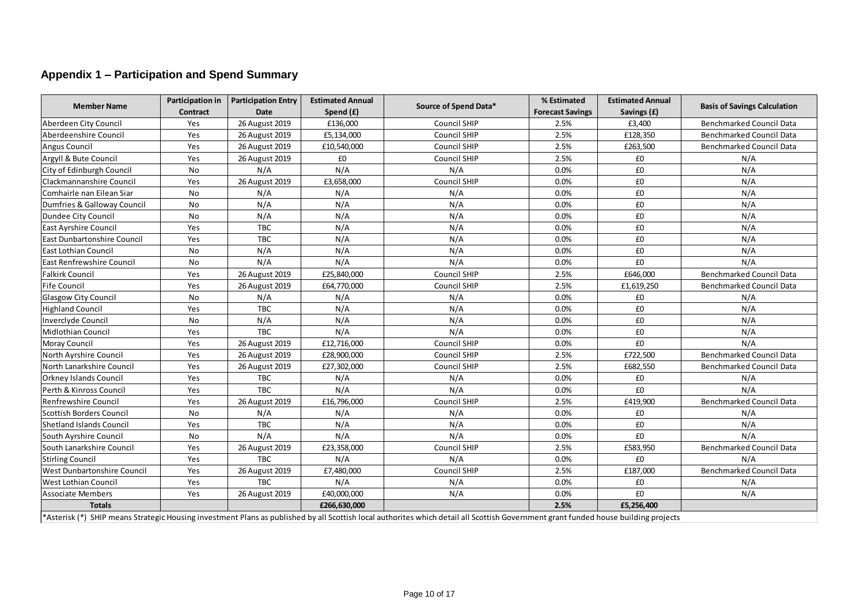## **Appendix 1 – Participation and Spend Summary**

| <b>Member Name</b>                 | Participation in<br>Contract | <b>Participation Entry</b><br><b>Date</b> | <b>Estimated Annual</b><br>Spend (£) | Source of Spend Data* | % Estimated<br><b>Forecast Savings</b> | <b>Estimated Annual</b><br>Savings (£) | <b>Basis of Savings Calculation</b> |
|------------------------------------|------------------------------|-------------------------------------------|--------------------------------------|-----------------------|----------------------------------------|----------------------------------------|-------------------------------------|
| Aberdeen City Council              | Yes                          | 26 August 2019                            | £136,000                             | Council SHIP          | 2.5%                                   | £3,400                                 | <b>Benchmarked Council Data</b>     |
| Aberdeenshire Council              | Yes                          | 26 August 2019                            | £5,134,000                           | Council SHIP          | 2.5%                                   | £128,350                               | <b>Benchmarked Council Data</b>     |
| Angus Council                      | Yes                          | 26 August 2019                            | £10,540,000                          | <b>Council SHIP</b>   | 2.5%                                   | £263,500                               | <b>Benchmarked Council Data</b>     |
| Argyll & Bute Council              | Yes                          | 26 August 2019                            | £0                                   | Council SHIP          | 2.5%                                   | £0                                     | N/A                                 |
| City of Edinburgh Council          | No                           | N/A                                       | N/A                                  | N/A                   | 0.0%                                   | £0                                     | N/A                                 |
| Clackmannanshire Council           | Yes                          | 26 August 2019                            | £3,658,000                           | Council SHIP          | 0.0%                                   | £0                                     | N/A                                 |
| Comhairle nan Eilean Siar          | No                           | N/A                                       | N/A                                  | N/A                   | 0.0%                                   | £0                                     | N/A                                 |
| Dumfries & Galloway Council        | No                           | N/A                                       | N/A                                  | N/A                   | 0.0%                                   | £0                                     | N/A                                 |
| Dundee City Council                | No                           | N/A                                       | N/A                                  | N/A                   | 0.0%                                   | £0                                     | N/A                                 |
| <b>East Ayrshire Council</b>       | Yes                          | <b>TBC</b>                                | N/A                                  | N/A                   | 0.0%                                   | £0                                     | N/A                                 |
| <b>East Dunbartonshire Council</b> | Yes                          | <b>TBC</b>                                | N/A                                  | N/A                   | 0.0%                                   | £0                                     | N/A                                 |
| lEast Lothian Council              | No                           | N/A                                       | N/A                                  | N/A                   | 0.0%                                   | £0                                     | N/A                                 |
| <b>East Renfrewshire Council</b>   | No                           | N/A                                       | N/A                                  | N/A                   | 0.0%                                   | £0                                     | N/A                                 |
| <b>Falkirk Council</b>             | Yes                          | 26 August 2019                            | £25,840,000                          | Council SHIP          | 2.5%                                   | £646,000                               | Benchmarked Council Data            |
| <b>Fife Council</b>                | Yes                          | 26 August 2019                            | £64,770,000                          | <b>Council SHIP</b>   | 2.5%                                   | £1,619,250                             | <b>Benchmarked Council Data</b>     |
| <b>Glasgow City Council</b>        | No                           | N/A                                       | N/A                                  | N/A                   | 0.0%                                   | £0                                     | N/A                                 |
| <b>Highland Council</b>            | Yes                          | <b>TBC</b>                                | N/A                                  | N/A                   | 0.0%                                   | £0                                     | N/A                                 |
| Inverclyde Council                 | No                           | N/A                                       | N/A                                  | N/A                   | 0.0%                                   | £0                                     | N/A                                 |
| Midlothian Council                 | Yes                          | <b>TBC</b>                                | N/A                                  | N/A                   | 0.0%                                   | £0                                     | N/A                                 |
| Moray Council                      | Yes                          | 26 August 2019                            | £12,716,000                          | Council SHIP          | 0.0%                                   | £0                                     | N/A                                 |
| North Ayrshire Council             | Yes                          | 26 August 2019                            | £28,900,000                          | Council SHIP          | 2.5%                                   | £722,500                               | <b>Benchmarked Council Data</b>     |
| North Lanarkshire Council          | Yes                          | 26 August 2019                            | £27,302,000                          | Council SHIP          | 2.5%                                   | £682,550                               | <b>Benchmarked Council Data</b>     |
| <b>Orkney Islands Council</b>      | Yes                          | <b>TBC</b>                                | N/A                                  | N/A                   | 0.0%                                   | £0                                     | N/A                                 |
| Perth & Kinross Council            | Yes                          | <b>TBC</b>                                | N/A                                  | N/A                   | 0.0%                                   | £0                                     | N/A                                 |
| Renfrewshire Council               | Yes                          | 26 August 2019                            | £16,796,000                          | Council SHIP          | 2.5%                                   | £419,900                               | Benchmarked Council Data            |
| Scottish Borders Council           | No                           | N/A                                       | N/A                                  | N/A                   | 0.0%                                   | £0                                     | N/A                                 |
| Shetland Islands Council           | Yes                          | <b>TBC</b>                                | N/A                                  | N/A                   | 0.0%                                   | £0                                     | N/A                                 |
| South Ayrshire Council             | No                           | N/A                                       | N/A                                  | N/A                   | 0.0%                                   | £0                                     | N/A                                 |
| South Lanarkshire Council          | Yes                          | 26 August 2019                            | £23,358,000                          | Council SHIP          | 2.5%                                   | £583,950                               | <b>Benchmarked Council Data</b>     |
| <b>Stirling Council</b>            | Yes                          | <b>TBC</b>                                | N/A                                  | N/A                   | 0.0%                                   | £0                                     | N/A                                 |
| West Dunbartonshire Council        | Yes                          | 26 August 2019                            | £7,480,000                           | <b>Council SHIP</b>   | 2.5%                                   | £187,000                               | <b>Benchmarked Council Data</b>     |
| <b>West Lothian Council</b>        | Yes                          | TBC                                       | N/A                                  | N/A                   | 0.0%                                   | £0                                     | N/A                                 |
| <b>Associate Members</b>           | Yes                          | 26 August 2019                            | £40,000,000                          | N/A                   | 0.0%                                   | £0                                     | N/A                                 |
| <b>Totals</b>                      |                              |                                           | £266,630,000                         |                       | 2.5%                                   | £5,256,400                             |                                     |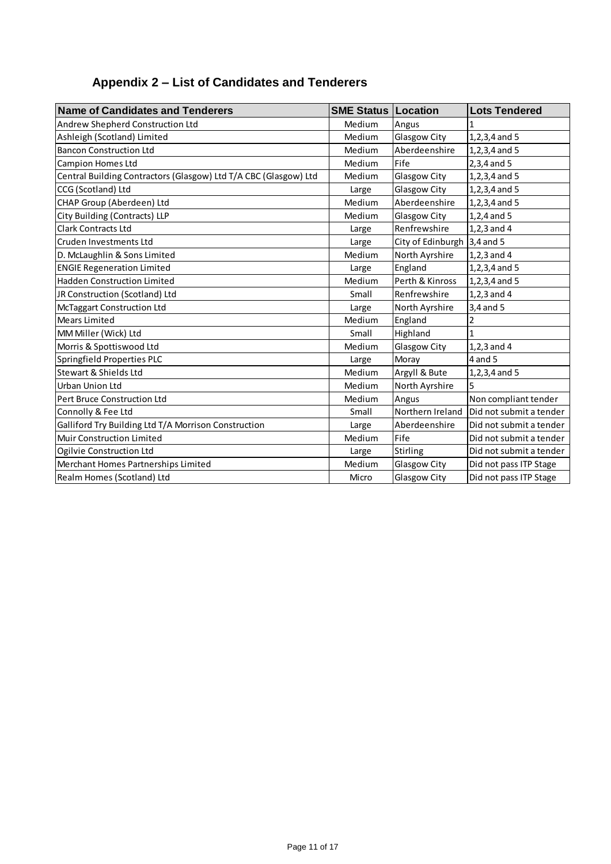# **Appendix 2 – List of Candidates and Tenderers**

| <b>Name of Candidates and Tenderers</b>                          | <b>SME Status   Location</b> |                             | <b>Lots Tendered</b>    |
|------------------------------------------------------------------|------------------------------|-----------------------------|-------------------------|
| Andrew Shepherd Construction Ltd                                 | Medium                       | Angus                       | 1                       |
| Ashleigh (Scotland) Limited                                      | Medium                       | Glasgow City                | $1, 2, 3, 4$ and 5      |
| <b>Bancon Construction Ltd</b>                                   | Medium                       | Aberdeenshire               | $1, 2, 3, 4$ and 5      |
| <b>Campion Homes Ltd</b>                                         | Medium                       | Fife                        | $2,3,4$ and 5           |
| Central Building Contractors (Glasgow) Ltd T/A CBC (Glasgow) Ltd | Medium                       | Glasgow City                | 1, 2, 3, 4 and 5        |
| CCG (Scotland) Ltd                                               | Large                        | Glasgow City                | $1, 2, 3, 4$ and 5      |
| CHAP Group (Aberdeen) Ltd                                        | Medium                       | Aberdeenshire               | $1, 2, 3, 4$ and 5      |
| City Building (Contracts) LLP                                    | Medium                       | Glasgow City                | $1,2,4$ and 5           |
| <b>Clark Contracts Ltd</b>                                       | Large                        | Renfrewshire                | $1, 2, 3$ and $4$       |
| Cruden Investments Ltd                                           | Large                        | City of Edinburgh 3,4 and 5 |                         |
| D. McLaughlin & Sons Limited                                     | Medium                       | North Ayrshire              | $1, 2, 3$ and 4         |
| <b>ENGIE Regeneration Limited</b>                                | Large                        | England                     | $1, 2, 3, 4$ and 5      |
| <b>Hadden Construction Limited</b>                               | Medium                       | Perth & Kinross             | $1, 2, 3, 4$ and 5      |
| JR Construction (Scotland) Ltd                                   | Small                        | Renfrewshire                | $1, 2, 3$ and 4         |
| McTaggart Construction Ltd                                       | Large                        | North Ayrshire              | 3,4 and 5               |
| Mears Limited                                                    | Medium                       | England                     | 2                       |
| MM Miller (Wick) Ltd                                             | Small                        | Highland                    | 1                       |
| Morris & Spottiswood Ltd                                         | Medium                       | Glasgow City                | $1, 2, 3$ and $4$       |
| Springfield Properties PLC                                       | Large                        | Moray                       | 4 and 5                 |
| Stewart & Shields Ltd                                            | Medium                       | Argyll & Bute               | 1, 2, 3, 4 and 5        |
| Urban Union Ltd                                                  | Medium                       | North Ayrshire              | 5                       |
| Pert Bruce Construction Ltd                                      | Medium                       | Angus                       | Non compliant tender    |
| Connolly & Fee Ltd                                               | Small                        | Northern Ireland            | Did not submit a tender |
| Galliford Try Building Ltd T/A Morrison Construction             | Large                        | Aberdeenshire               | Did not submit a tender |
| Muir Construction Limited                                        | Medium                       | Fife                        | Did not submit a tender |
| Ogilvie Construction Ltd                                         | Large                        | Stirling                    | Did not submit a tender |
| Merchant Homes Partnerships Limited                              | Medium                       | Glasgow City                | Did not pass ITP Stage  |
| Realm Homes (Scotland) Ltd                                       | Micro                        | Glasgow City                | Did not pass ITP Stage  |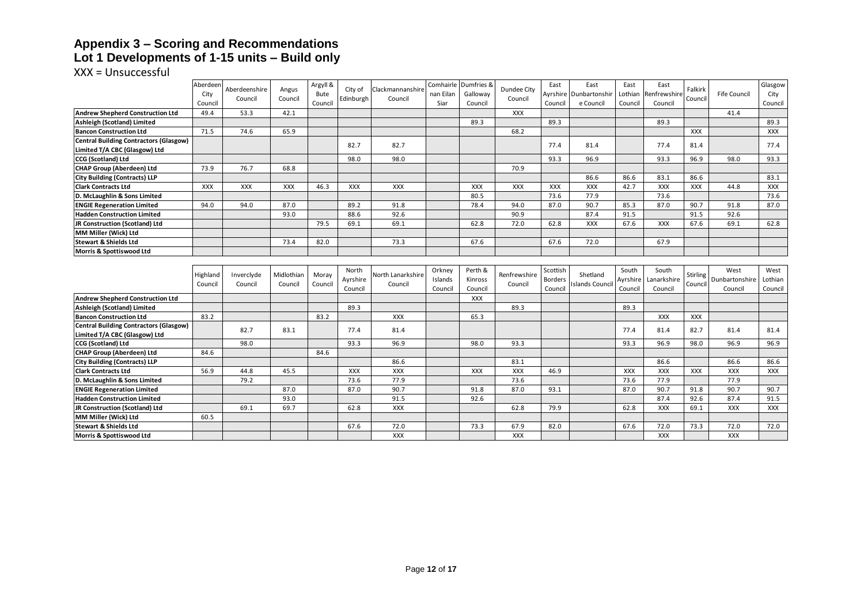#### **Appendix 3 – Scoring and Recommendations Lot 1 Developments of 1-15 units – Build only**

|                                                              | Aberdeen<br>City | Aberdeenshire | Angus      | Argyll &<br>Bute | City of   | Clackmannanshire   | nan Eilan | Comhairle Dumfries &<br>Galloway | Dundee City        | East           | East<br>Ayrshire   Dunbartonshir | East<br>Lothian | East<br>Renfrewshire | Falkirk         | <b>Fife Council</b> | Glasgow<br>City |
|--------------------------------------------------------------|------------------|---------------|------------|------------------|-----------|--------------------|-----------|----------------------------------|--------------------|----------------|----------------------------------|-----------------|----------------------|-----------------|---------------------|-----------------|
|                                                              | Council          | Council       | Council    | Council          | Edinburgh | Council            | Siar      | Council                          | Council            | Council        | e Council                        | Council         | Council              | Council         |                     | Council         |
| <b>Andrew Shepherd Construction Ltd</b>                      | 49.4             | 53.3          | 42.1       |                  |           |                    |           |                                  | <b>XXX</b>         |                |                                  |                 |                      |                 | 41.4                |                 |
| Ashleigh (Scotland) Limited                                  |                  |               |            |                  |           |                    |           | 89.3                             |                    | 89.3           |                                  |                 | 89.3                 |                 |                     | 89.3            |
| <b>Bancon Construction Ltd</b>                               | 71.5             | 74.6          | 65.9       |                  |           |                    |           |                                  | 68.2               |                |                                  |                 |                      | <b>XXX</b>      |                     | XXX             |
| <b>Central Building Contractors (Glasgow)</b>                |                  |               |            |                  | 82.7      | 82.7               |           |                                  |                    | 77.4           | 81.4                             |                 | 77.4                 | 81.4            |                     | 77.4            |
| Limited T/A CBC (Glasgow) Ltd                                |                  |               |            |                  |           |                    |           |                                  |                    |                |                                  |                 |                      |                 |                     |                 |
| <b>CCG (Scotland) Ltd</b>                                    |                  |               |            |                  | 98.0      | 98.0               |           |                                  |                    | 93.3           | 96.9                             |                 | 93.3                 | 96.9            | 98.0                | 93.3            |
| <b>CHAP Group (Aberdeen) Ltd</b>                             | 73.9             | 76.7          | 68.8       |                  |           |                    |           |                                  | 70.9               |                |                                  |                 |                      |                 |                     |                 |
| <b>City Building (Contracts) LLP</b>                         |                  |               |            |                  |           |                    |           |                                  |                    |                | 86.6                             | 86.6            | 83.1                 | 86.6            |                     | 83.1            |
| <b>Clark Contracts Ltd</b>                                   | <b>XXX</b>       | XXX           | XXX        | 46.3             | XXX       | XXX                |           | XXX                              | XXX                | XXX            | XXX                              | 42.7            | XXX                  | <b>XXX</b>      | 44.8                | XXX             |
| D. McLaughlin & Sons Limited                                 |                  |               |            |                  |           |                    |           | 80.5                             |                    | 73.6           | 77.9                             |                 | 73.6                 |                 |                     | 73.6            |
| <b>ENGIE Regeneration Limited</b>                            | 94.0             | 94.0          | 87.0       |                  | 89.2      | 91.8               |           | 78.4                             | 94.0               | 87.0           | 90.7                             | 85.3            | 87.0                 | 90.7            | 91.8                | 87.0            |
| <b>Hadden Construction Limited</b>                           |                  |               | 93.0       |                  | 88.6      | 92.6               |           |                                  | 90.9               |                | 87.4                             | 91.5            |                      | 91.5            | 92.6                |                 |
| JR Construction (Scotland) Ltd                               |                  |               |            | 79.5             | 69.1      | 69.1               |           | 62.8                             | 72.0               | 62.8           | <b>XXX</b>                       | 67.6            | <b>XXX</b>           | 67.6            | 69.1                | 62.8            |
| MM Miller (Wick) Ltd                                         |                  |               |            |                  |           |                    |           |                                  |                    |                |                                  |                 |                      |                 |                     |                 |
| <b>Stewart &amp; Shields Ltd</b>                             |                  |               | 73.4       | 82.0             |           | 73.3               |           | 67.6                             |                    | 67.6           | 72.0                             |                 | 67.9                 |                 |                     |                 |
| Morris & Spottiswood Ltd                                     |                  |               |            |                  |           |                    |           |                                  |                    |                |                                  |                 |                      |                 |                     |                 |
|                                                              |                  |               |            |                  |           |                    |           |                                  |                    |                |                                  |                 |                      |                 |                     |                 |
|                                                              |                  |               |            |                  |           |                    |           |                                  |                    |                |                                  |                 |                      |                 |                     |                 |
|                                                              |                  |               |            |                  | North     |                    | Orkney    | Perth &                          |                    | Scottish       |                                  | South           | South                |                 | West                | West            |
|                                                              | Highland         | Inverclyde    | Midlothian | Moray            | Ayrshire  | North Lanarkshire  | Islands   | Kinross                          | Renfrewshire       | <b>Borders</b> | Shetland                         | Ayrshire        | Lanarkshire          | <b>Stirling</b> | Dunbartonshire      | Lothian         |
|                                                              | Council          | Council       | Council    | Council          | Council   | Council            | Council   | Council                          | Council            | Council        | <b>Islands Council</b>           | Council         | Council              | Council         | Council             | Council         |
| <b>Andrew Shepherd Construction Ltd</b>                      |                  |               |            |                  |           |                    |           | XXX                              |                    |                |                                  |                 |                      |                 |                     |                 |
| Ashleigh (Scotland) Limited                                  |                  |               |            |                  | 89.3      |                    |           |                                  | 89.3               |                |                                  | 89.3            |                      |                 |                     |                 |
| <b>Bancon Construction Ltd</b>                               | 83.2             |               |            | 83.2             |           | <b>XXX</b>         |           | 65.3                             |                    |                |                                  |                 | <b>XXX</b>           | <b>XXX</b>      |                     |                 |
| <b>Central Building Contractors (Glasgow)</b>                |                  | 82.7          | 83.1       |                  | 77.4      | 81.4               |           |                                  |                    |                |                                  | 77.4            | 81.4                 | 82.7            | 81.4                | 81.4            |
| Limited T/A CBC (Glasgow) Ltd                                |                  |               |            |                  |           |                    |           |                                  |                    |                |                                  |                 |                      |                 |                     |                 |
| <b>CCG (Scotland) Ltd</b>                                    |                  | 98.0          |            |                  | 93.3      | 96.9               |           | 98.0                             | 93.3               |                |                                  | 93.3            | 96.9                 | 98.0            | 96.9                | 96.9            |
| <b>CHAP Group (Aberdeen) Ltd</b>                             | 84.6             |               |            | 84.6             |           |                    |           |                                  |                    |                |                                  |                 |                      |                 |                     |                 |
| <b>City Building (Contracts) LLP</b>                         |                  |               |            |                  |           | 86.6               |           |                                  | 83.1               |                |                                  |                 | 86.6                 |                 | 86.6                | 86.6            |
| <b>Clark Contracts Ltd</b>                                   | 56.9             | 44.8          | 45.5       |                  | XXX       | XXX                |           | XXX                              | XXX                | 46.9           |                                  | <b>XXX</b>      | <b>XXX</b>           | XXX             | XXX                 | XXX             |
| D. McLaughlin & Sons Limited                                 |                  | 79.2          |            |                  | 73.6      | 77.9               |           |                                  | 73.6               |                |                                  | 73.6            | 77.9                 |                 | 77.9                |                 |
| <b>ENGIE Regeneration Limited</b>                            |                  |               | 87.0       |                  | 87.0      | 90.7               |           | 91.8                             | 87.0               | 93.1           |                                  | 87.0            | 90.7                 | 91.8            | 90.7                | 90.7            |
| <b>Hadden Construction Limited</b>                           |                  |               | 93.0       |                  |           | 91.5               |           | 92.6                             |                    |                |                                  |                 | 87.4                 | 92.6            | 87.4                | 91.5            |
| JR Construction (Scotland) Ltd                               |                  | 69.1          | 69.7       |                  | 62.8      | <b>XXX</b>         |           |                                  | 62.8               | 79.9           |                                  | 62.8            | <b>XXX</b>           | 69.1            | <b>XXX</b>          | <b>XXX</b>      |
| MM Miller (Wick) Ltd                                         | 60.5             |               |            |                  |           |                    |           |                                  |                    |                |                                  |                 |                      |                 |                     |                 |
| <b>Stewart &amp; Shields Ltd</b><br>Morris & Spottiswood Ltd |                  |               |            |                  | 67.6      | 72.0<br><b>XXX</b> |           | 73.3                             | 67.9<br><b>XXX</b> | 82.0           |                                  | 67.6            | 72.0<br><b>XXX</b>   | 73.3            | 72.0<br><b>XXX</b>  | 72.0            |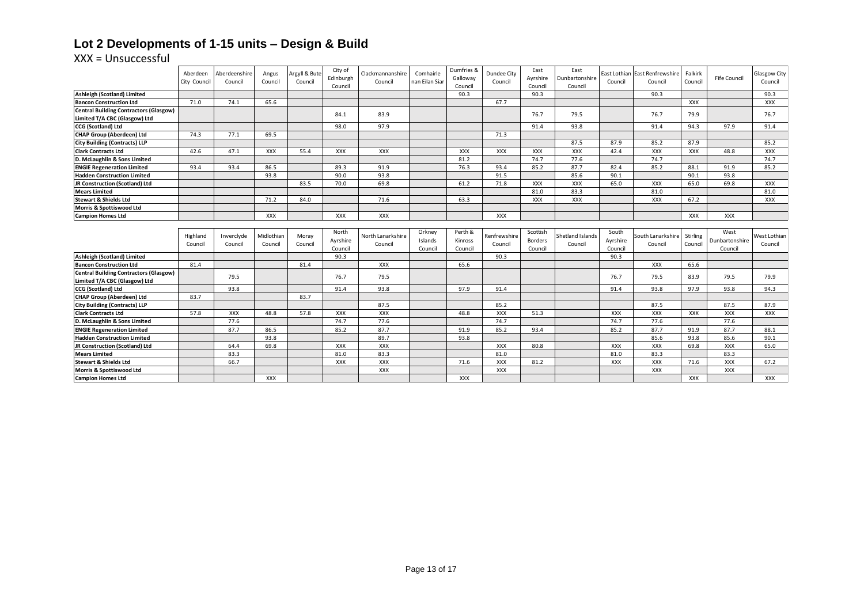# **Lot 2 Developments of 1-15 units – Design & Build**

|                                                      | Aberdeen<br>City Council | Aberdeenshire<br>Council | Angus<br>Council | Argyll & Bute<br>Council | City of<br>Edinburgh<br>Council | Clackmannanshire<br>Council | Comhairle<br>nan Eilan Siar | Dumfries &<br>Galloway<br>Council | Dundee City<br>Council | East<br>Ayrshire<br>Council | East<br>Dunbartonshire<br>Council | Council    | East Lothian East Renfrewshire<br>Council | Falkirk<br>Council | <b>Fife Council</b> | <b>Glasgow City</b><br>Council |
|------------------------------------------------------|--------------------------|--------------------------|------------------|--------------------------|---------------------------------|-----------------------------|-----------------------------|-----------------------------------|------------------------|-----------------------------|-----------------------------------|------------|-------------------------------------------|--------------------|---------------------|--------------------------------|
| Ashleigh (Scotland) Limited                          |                          |                          |                  |                          |                                 |                             |                             | 90.3                              |                        | 90.3                        |                                   |            | 90.3                                      |                    |                     | 90.3                           |
| <b>Bancon Construction Ltd</b>                       | 71.0                     | 74.1                     | 65.6             |                          |                                 |                             |                             |                                   | 67.7                   |                             |                                   |            |                                           | XXX                |                     | <b>XXX</b>                     |
| <b>Central Building Contractors (Glasgow)</b>        |                          |                          |                  |                          | 84.1                            | 83.9                        |                             |                                   |                        | 76.7                        | 79.5                              |            | 76.7                                      | 79.9               |                     | 76.7                           |
| Limited T/A CBC (Glasgow) Ltd                        |                          |                          |                  |                          |                                 |                             |                             |                                   |                        |                             |                                   |            |                                           |                    |                     |                                |
| CCG (Scotland) Ltd                                   |                          |                          |                  |                          | 98.0                            | 97.9                        |                             |                                   |                        | 91.4                        | 93.8                              |            | 91.4                                      | 94.3               | 97.9                | 91.4                           |
| <b>CHAP Group (Aberdeen) Ltd</b>                     | 74.3                     | 77.1                     | 69.5             |                          |                                 |                             |                             |                                   | 71.3                   |                             |                                   |            |                                           |                    |                     |                                |
| <b>City Building (Contracts) LLP</b>                 |                          |                          |                  |                          |                                 |                             |                             |                                   |                        |                             | 87.5                              | 87.9       | 85.2                                      | 87.9               |                     | 85.2                           |
| <b>Clark Contracts Ltd</b>                           | 42.6                     | 47.1                     | <b>XXX</b>       | 55.4                     | <b>XXX</b>                      | <b>XXX</b>                  |                             | <b>XXX</b>                        | <b>XXX</b>             | <b>XXX</b>                  | XXX                               | 42.4       | XXX                                       | <b>XXX</b>         | 48.8                | <b>XXX</b>                     |
| D. McLaughlin & Sons Limited                         |                          |                          |                  |                          |                                 |                             |                             | 81.2                              |                        | 74.7                        | 77.6                              |            | 74.7                                      |                    |                     | 74.7                           |
| <b>ENGIE Regeneration Limited</b>                    | 93.4                     | 93.4                     | 86.5             |                          | 89.3                            | 91.9                        |                             | 76.3                              | 93.4                   | 85.2                        | 87.7                              | 82.4       | 85.2                                      | 88.1               | 91.9                | 85.2                           |
| <b>Hadden Construction Limited</b>                   |                          |                          | 93.8             |                          | 90.0                            | 93.8                        |                             |                                   | 91.5                   |                             | 85.6                              | 90.1       |                                           | 90.1               | 93.8                |                                |
| JR Construction (Scotland) Ltd                       |                          |                          |                  | 83.5                     | 70.0                            | 69.8                        |                             | 61.2                              | 71.8                   | <b>XXX</b>                  | <b>XXX</b>                        | 65.0       | <b>XXX</b>                                | 65.0               | 69.8                | <b>XXX</b>                     |
| <b>Mears Limited</b>                                 |                          |                          |                  |                          |                                 |                             |                             |                                   |                        | 81.0                        | 83.3                              |            | 81.0                                      |                    |                     | 81.0                           |
| <b>Stewart &amp; Shields Ltd</b>                     |                          |                          | 71.2             | 84.0                     |                                 | 71.6                        |                             | 63.3                              |                        | <b>XXX</b>                  | <b>XXX</b>                        |            | <b>XXX</b>                                | 67.2               |                     | <b>XXX</b>                     |
| Morris & Spottiswood Ltd                             |                          |                          |                  |                          |                                 |                             |                             |                                   |                        |                             |                                   |            |                                           |                    |                     |                                |
| <b>Campion Homes Ltd</b>                             |                          |                          | <b>XXX</b>       |                          | <b>XXX</b>                      | <b>XXX</b>                  |                             |                                   | XXX                    |                             |                                   |            |                                           | XXX                | <b>XXX</b>          |                                |
|                                                      |                          |                          |                  |                          |                                 |                             |                             |                                   |                        |                             |                                   |            |                                           |                    |                     |                                |
|                                                      |                          |                          |                  |                          |                                 |                             |                             |                                   |                        |                             |                                   |            |                                           |                    |                     |                                |
|                                                      |                          |                          |                  |                          | North                           |                             | Orkney                      | Perth &                           |                        | Scottish                    |                                   | South      |                                           |                    | West                |                                |
|                                                      | Highland                 | Inverclyde               | Midlothian       | Moray                    | Ayrshire                        | North Lanarkshire           | Islands                     | Kinross                           | Renfrewshire           | Borders                     | Shetland Islands                  | Ayrshire   | South Lanarkshire                         | Stirling           | Dunbartonshire      | West Lothian                   |
|                                                      | Council                  | Council                  | Council          | Council                  | Council                         | Council                     | Council                     | Council                           | Council                | Council                     | Council                           | Council    | Council                                   | Council            | Council             | Council                        |
| Ashleigh (Scotland) Limited                          |                          |                          |                  |                          | 90.3                            |                             |                             |                                   | 90.3                   |                             |                                   | 90.3       |                                           |                    |                     |                                |
| <b>Bancon Construction Ltd</b>                       | 81.4                     |                          |                  | 81.4                     |                                 | <b>XXX</b>                  |                             | 65.6                              |                        |                             |                                   |            | <b>XXX</b>                                | 65.6               |                     |                                |
| <b>Central Building Contractors (Glasgow)</b>        |                          |                          |                  |                          |                                 |                             |                             |                                   |                        |                             |                                   |            |                                           |                    |                     |                                |
| Limited T/A CBC (Glasgow) Ltd                        |                          | 79.5                     |                  |                          | 76.7                            | 79.5                        |                             |                                   |                        |                             |                                   | 76.7       | 79.5                                      | 83.9               | 79.5                | 79.9                           |
| CCG (Scotland) Ltd                                   |                          | 93.8                     |                  |                          | 91.4                            | 93.8                        |                             | 97.9                              | 91.4                   |                             |                                   | 91.4       | 93.8                                      | 97.9               | 93.8                | 94.3                           |
| <b>CHAP Group (Aberdeen) Ltd</b>                     | 83.7                     |                          |                  | 83.7                     |                                 |                             |                             |                                   |                        |                             |                                   |            |                                           |                    |                     |                                |
| <b>City Building (Contracts) LLP</b>                 |                          |                          |                  |                          |                                 | 87.5                        |                             |                                   | 85.2                   |                             |                                   |            | 87.5                                      |                    | 87.5                | 87.9                           |
| <b>Clark Contracts Ltd</b>                           | 57.8                     | <b>XXX</b>               | 48.8             | 57.8                     | <b>XXX</b>                      | <b>XXX</b>                  |                             | 48.8                              | <b>XXX</b>             | 51.3                        |                                   | <b>XXX</b> | <b>XXX</b>                                | XXX                | XXX                 | <b>XXX</b>                     |
| D. McLaughlin & Sons Limited                         |                          | 77.6                     |                  |                          | 74.7                            | 77.6                        |                             |                                   | 74.7                   |                             |                                   | 74.7       | 77.6                                      |                    | 77.6                |                                |
| <b>ENGIE Regeneration Limited</b>                    |                          | 87.7                     | 86.5             |                          | 85.2                            | 87.7                        |                             | 91.9                              | 85.2                   | 93.4                        |                                   | 85.2       | 87.7                                      | 91.9               | 87.7                | 88.1                           |
| <b>Hadden Construction Limited</b>                   |                          |                          | 93.8             |                          |                                 | 89.7                        |                             | 93.8                              |                        |                             |                                   |            | 85.6                                      | 93.8               | 85.6                | 90.1                           |
| JR Construction (Scotland) Ltd                       |                          | 64.4                     | 69.8             |                          | <b>XXX</b>                      | XXX                         |                             |                                   | <b>XXX</b>             | 80.8                        |                                   | XXX        | XXX                                       | 69.8               | XXX                 | 65.0                           |
| <b>Mears Limited</b>                                 |                          | 83.3                     |                  |                          | 81.0                            | 83.3                        |                             |                                   | 81.0                   |                             |                                   | 81.0       | 83.3                                      |                    | 83.3                |                                |
| <b>Stewart &amp; Shields Ltd</b>                     |                          | 66.7                     |                  |                          | <b>XXX</b>                      | XXX                         |                             | 71.6                              | <b>XXX</b>             | 81.2                        |                                   | <b>XXX</b> | <b>XXX</b>                                | 71.6               | <b>XXX</b>          | 67.2                           |
| Morris & Spottiswood Ltd<br><b>Campion Homes Ltd</b> |                          |                          | <b>XXX</b>       |                          |                                 | XXX                         |                             | <b>XXX</b>                        | <b>XXX</b>             |                             |                                   |            | <b>XXX</b>                                | <b>XXX</b>         | XXX                 | <b>XXX</b>                     |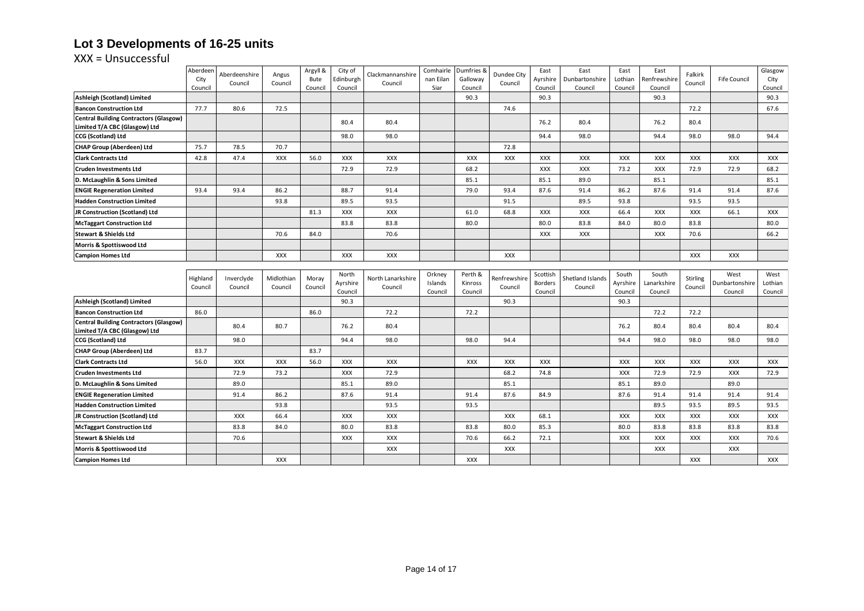# **Lot 3 Developments of 16-25 units**

|                                                                                | Aberdeen        | Aberdeenshire | Angus      | Argyll &        | City of              | Clackmannanshire  | Comhairle          | Dumfries &          | Dundee City  | East                      | East                      | East                | East                    | Falkirk    |                           | Glasgow            |
|--------------------------------------------------------------------------------|-----------------|---------------|------------|-----------------|----------------------|-------------------|--------------------|---------------------|--------------|---------------------------|---------------------------|---------------------|-------------------------|------------|---------------------------|--------------------|
|                                                                                | City<br>Council | Council       | Council    | Bute<br>Council | Edinburgh<br>Council | Council           | nan Eilan<br>Siar  | Galloway<br>Council | Council      | Ayrshire<br>Council       | Dunbartonshire<br>Council | Lothian<br>Council  | Renfrewshire<br>Council | Council    | <b>Fife Council</b>       | City<br>Council    |
| Ashleigh (Scotland) Limited                                                    |                 |               |            |                 |                      |                   |                    | 90.3                |              | 90.3                      |                           |                     | 90.3                    |            |                           | 90.3               |
| <b>Bancon Construction Ltd</b>                                                 | 77.7            | 80.6          | 72.5       |                 |                      |                   |                    |                     | 74.6         |                           |                           |                     |                         | 72.2       |                           | 67.6               |
| <b>Central Building Contractors (Glasgow)</b>                                  |                 |               |            |                 | 80.4                 | 80.4              |                    |                     |              | 76.2                      | 80.4                      |                     | 76.2                    | 80.4       |                           |                    |
| Limited T/A CBC (Glasgow) Ltd                                                  |                 |               |            |                 |                      |                   |                    |                     |              |                           |                           |                     |                         |            |                           |                    |
| <b>CCG (Scotland) Ltd</b>                                                      |                 |               |            |                 | 98.0                 | 98.0              |                    |                     |              | 94.4                      | 98.0                      |                     | 94.4                    | 98.0       | 98.0                      | 94.4               |
| <b>CHAP Group (Aberdeen) Ltd</b>                                               | 75.7            | 78.5          | 70.7       |                 |                      |                   |                    |                     | 72.8         |                           |                           |                     |                         |            |                           |                    |
| <b>Clark Contracts Ltd</b>                                                     | 42.8            | 47.4          | <b>XXX</b> | 56.0            | <b>XXX</b>           | <b>XXX</b>        |                    | <b>XXX</b>          | <b>XXX</b>   | <b>XXX</b>                | <b>XXX</b>                | <b>XXX</b>          | <b>XXX</b>              | <b>XXX</b> | <b>XXX</b>                | <b>XXX</b>         |
| <b>Cruden Investments Ltd</b>                                                  |                 |               |            |                 | 72.9                 | 72.9              |                    | 68.2                |              | <b>XXX</b>                | <b>XXX</b>                | 73.2                | <b>XXX</b>              | 72.9       | 72.9                      | 68.2               |
| D. McLaughlin & Sons Limited                                                   |                 |               |            |                 |                      |                   |                    | 85.1                |              | 85.1                      | 89.0                      |                     | 85.1                    |            |                           | 85.1               |
| <b>ENGIE Regeneration Limited</b>                                              | 93.4            | 93.4          | 86.2       |                 | 88.7                 | 91.4              |                    | 79.0                | 93.4         | 87.6                      | 91.4                      | 86.2                | 87.6                    | 91.4       | 91.4                      | 87.6               |
| <b>Hadden Construction Limited</b>                                             |                 |               | 93.8       |                 | 89.5                 | 93.5              |                    |                     | 91.5         |                           | 89.5                      | 93.8                |                         | 93.5       | 93.5                      |                    |
| JR Construction (Scotland) Ltd                                                 |                 |               |            | 81.3            | XXX                  | <b>XXX</b>        |                    | 61.0                | 68.8         | <b>XXX</b>                | <b>XXX</b>                | 66.4                | <b>XXX</b>              | <b>XXX</b> | 66.1                      | <b>XXX</b>         |
| <b>McTaggart Construction Ltd</b>                                              |                 |               |            |                 | 83.8                 | 83.8              |                    | 80.0                |              | 80.0                      | 83.8                      | 84.0                | 80.0                    | 83.8       |                           | 80.0               |
| <b>Stewart &amp; Shields Ltd</b>                                               |                 |               | 70.6       | 84.0            |                      | 70.6              |                    |                     |              | <b>XXX</b>                | <b>XXX</b>                |                     | <b>XXX</b>              | 70.6       |                           | 66.2               |
| Morris & Spottiswood Ltd                                                       |                 |               |            |                 |                      |                   |                    |                     |              |                           |                           |                     |                         |            |                           |                    |
| <b>Campion Homes Ltd</b>                                                       |                 |               | <b>XXX</b> |                 | <b>XXX</b>           | <b>XXX</b>        |                    |                     | <b>XXX</b>   |                           |                           |                     |                         | <b>XXX</b> | <b>XXX</b>                |                    |
|                                                                                |                 |               |            |                 |                      |                   |                    |                     |              |                           |                           |                     |                         |            |                           |                    |
|                                                                                |                 |               |            |                 |                      |                   |                    |                     |              |                           |                           |                     |                         |            |                           |                    |
|                                                                                | Highland        | Inverclyde    | Midlothian | Moray           | North                | North Lanarkshire | Orkney             | Perth &             | Renfrewshire | Scottish                  | Shetland Islands          | South               | South                   | Stirling   | West                      | West               |
|                                                                                | Council         | Council       | Council    | Council         | Ayrshire<br>Council  | Council           | Islands<br>Council | Kinross<br>Council  | Council      | <b>Borders</b><br>Council | Council                   | Ayrshire<br>Council | Lanarkshire<br>Council  | Council    | Dunbartonshire<br>Council | Lothian<br>Council |
| Ashleigh (Scotland) Limited                                                    |                 |               |            |                 | 90.3                 |                   |                    |                     | 90.3         |                           |                           | 90.3                |                         |            |                           |                    |
| <b>Bancon Construction Ltd</b>                                                 | 86.0            |               |            | 86.0            |                      | 72.2              |                    | 72.2                |              |                           |                           |                     | 72.2                    | 72.2       |                           |                    |
| <b>Central Building Contractors (Glasgow)</b><br>Limited T/A CBC (Glasgow) Ltd |                 | 80.4          | 80.7       |                 | 76.2                 | 80.4              |                    |                     |              |                           |                           | 76.2                | 80.4                    | 80.4       | 80.4                      | 80.4               |
| <b>CCG (Scotland) Ltd</b>                                                      |                 | 98.0          |            |                 | 94.4                 | 98.0              |                    | 98.0                | 94.4         |                           |                           | 94.4                | 98.0                    | 98.0       | 98.0                      | 98.0               |
| <b>CHAP Group (Aberdeen) Ltd</b>                                               | 83.7            |               |            | 83.7            |                      |                   |                    |                     |              |                           |                           |                     |                         |            |                           |                    |
| <b>Clark Contracts Ltd</b>                                                     | 56.0            | <b>XXX</b>    | <b>XXX</b> | 56.0            | <b>XXX</b>           | <b>XXX</b>        |                    | <b>XXX</b>          | <b>XXX</b>   | <b>XXX</b>                |                           | <b>XXX</b>          | <b>XXX</b>              | <b>XXX</b> | <b>XXX</b>                | <b>XXX</b>         |
| <b>Cruden Investments Ltd</b>                                                  |                 | 72.9          | 73.2       |                 | XXX                  | 72.9              |                    |                     | 68.2         | 74.8                      |                           | <b>XXX</b>          | 72.9                    | 72.9       | <b>XXX</b>                | 72.9               |
| D. McLaughlin & Sons Limited                                                   |                 | 89.0          |            |                 | 85.1                 | 89.0              |                    |                     | 85.1         |                           |                           | 85.1                | 89.0                    |            | 89.0                      |                    |
| <b>ENGIE Regeneration Limited</b>                                              |                 | 91.4          | 86.2       |                 | 87.6                 | 91.4              |                    | 91.4                | 87.6         | 84.9                      |                           | 87.6                | 91.4                    | 91.4       | 91.4                      | 91.4               |
| <b>Hadden Construction Limited</b>                                             |                 |               | 93.8       |                 |                      | 93.5              |                    | 93.5                |              |                           |                           |                     | 89.5                    | 93.5       | 89.5                      | 93.5               |
| JR Construction (Scotland) Ltd                                                 |                 | <b>XXX</b>    | 66.4       |                 | XXX                  | XXX               |                    |                     | <b>XXX</b>   | 68.1                      |                           | <b>XXX</b>          | <b>XXX</b>              | <b>XXX</b> | <b>XXX</b>                | <b>XXX</b>         |
| <b>McTaggart Construction Ltd</b>                                              |                 | 83.8          | 84.0       |                 | 80.0                 | 83.8              |                    | 83.8                | 80.0         | 85.3                      |                           | 80.0                | 83.8                    | 83.8       | 83.8                      | 83.8               |
| <b>Stewart &amp; Shields Ltd</b>                                               |                 | 70.6          |            |                 | XXX                  | <b>XXX</b>        |                    | 70.6                | 66.2         | 72.1                      |                           | XXX                 | XXX                     | <b>XXX</b> | <b>XXX</b>                | 70.6               |
| Morris & Spottiswood Ltd                                                       |                 |               |            |                 |                      | <b>XXX</b>        |                    |                     | XXX          |                           |                           |                     | <b>XXX</b>              |            | <b>XXX</b>                |                    |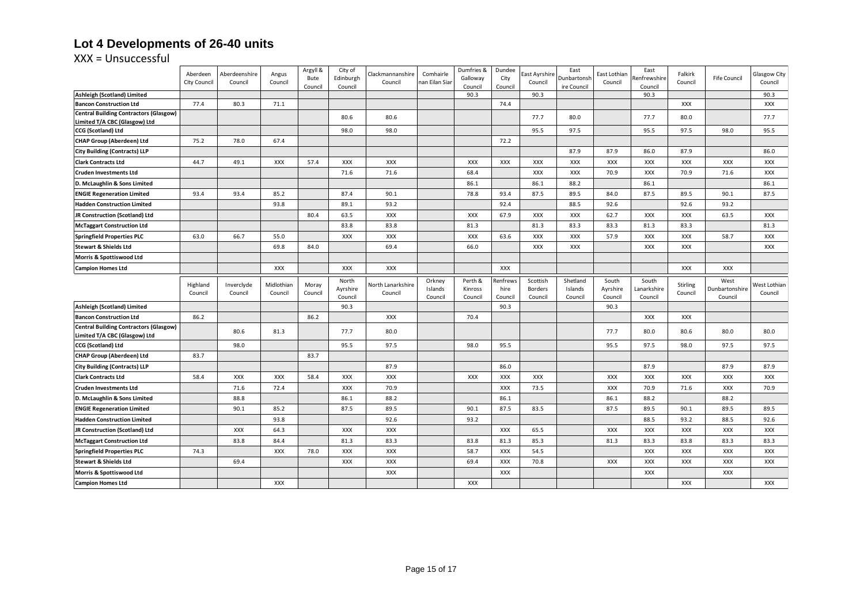# **Lot 4 Developments of 26-40 units**

|                                                                                | Aberdeen            | Aberdeenshire         | Angus                 | Argyll &         | City of           | Clackmannanshire             | Comhairle         | Dumfries &         | Dundee           | East Ayrshire       | East                | East Lothian      | East                 | Falkirk             |                        | Glasgow City            |
|--------------------------------------------------------------------------------|---------------------|-----------------------|-----------------------|------------------|-------------------|------------------------------|-------------------|--------------------|------------------|---------------------|---------------------|-------------------|----------------------|---------------------|------------------------|-------------------------|
|                                                                                | <b>City Council</b> | Council               | Council               | Bute             | Edinburgh         | Council                      | nan Eilan Siar    | Galloway           | City             | Council             | Dunbartonsh         | Council           | Renfrewshire         | Council             | Fife Council           | Council                 |
| Ashleigh (Scotland) Limited                                                    |                     |                       |                       | Council          | Council           |                              |                   | Council<br>90.3    | Council          | 90.3                | ire Council         |                   | Council<br>90.3      |                     |                        | 90.3                    |
| <b>Bancon Construction Ltd</b>                                                 | 77.4                | 80.3                  | 71.1                  |                  |                   |                              |                   |                    | 74.4             |                     |                     |                   |                      | <b>XXX</b>          |                        | XXX                     |
| <b>Central Building Contractors (Glasgow)</b>                                  |                     |                       |                       |                  | 80.6              | 80.6                         |                   |                    |                  | 77.7                | 80.0                |                   | 77.7                 | 80.0                |                        | 77.7                    |
| Limited T/A CBC (Glasgow) Ltd                                                  |                     |                       |                       |                  |                   |                              |                   |                    |                  |                     |                     |                   |                      |                     |                        |                         |
| CCG (Scotland) Ltd                                                             |                     |                       |                       |                  | 98.0              | 98.0                         |                   |                    |                  | 95.5                | 97.5                |                   | 95.5                 | 97.5                | 98.0                   | 95.5                    |
| <b>CHAP Group (Aberdeen) Ltd</b>                                               | 75.2                | 78.0                  | 67.4                  |                  |                   |                              |                   |                    | 72.2             |                     |                     |                   |                      |                     |                        |                         |
| <b>City Building (Contracts) LLP</b>                                           |                     |                       |                       |                  |                   |                              |                   |                    |                  |                     | 87.9                | 87.9              | 86.0                 | 87.9                |                        | 86.0                    |
| <b>Clark Contracts Ltd</b>                                                     | 44.7                | 49.1                  | <b>XXX</b>            | 57.4             | XXX               | <b>XXX</b>                   |                   | XXX                | XXX              | XXX                 | XXX                 | <b>XXX</b>        | XXX                  | XXX                 | XXX                    | XXX                     |
| <b>Cruden Investments Ltd</b>                                                  |                     |                       |                       |                  | 71.6              | 71.6                         |                   | 68.4               |                  | <b>XXX</b>          | <b>XXX</b>          | 70.9              | <b>XXX</b>           | 70.9                | 71.6                   | XXX                     |
| D. McLaughlin & Sons Limited                                                   |                     |                       |                       |                  |                   |                              |                   | 86.1               |                  | 86.1                | 88.2                |                   | 86.1                 |                     |                        | 86.1                    |
| <b>ENGIE Regeneration Limited</b>                                              | 93.4                | 93.4                  | 85.2                  |                  | 87.4              | 90.1                         |                   | 78.8               | 93.4             | 87.5                | 89.5                | 84.0              | 87.5                 | 89.5                | 90.1                   | 87.5                    |
| <b>Hadden Construction Limited</b>                                             |                     |                       | 93.8                  |                  | 89.1              | 93.2                         |                   |                    | 92.4             |                     | 88.5                | 92.6              |                      | 92.6                | 93.2                   |                         |
| JR Construction (Scotland) Ltd                                                 |                     |                       |                       | 80.4             | 63.5              | XXX                          |                   | XXX                | 67.9             | XXX                 | XXX                 | 62.7              | XXX                  | <b>XXX</b>          | 63.5                   | XXX                     |
| <b>McTaggart Construction Ltd</b>                                              |                     |                       |                       |                  | 83.8              | 83.8                         |                   | 81.3               |                  | 81.3                | 83.3                | 83.3              | 81.3                 | 83.3                |                        | 81.3                    |
| <b>Springfield Properties PLC</b>                                              | 63.0                | 66.7                  | 55.0                  |                  | XXX               | <b>XXX</b>                   |                   | XXX                | 63.6             | XXX                 | XXX                 | 57.9              | XXX                  | XXX                 | 58.7                   | XXX                     |
| <b>Stewart &amp; Shields Ltd</b>                                               |                     |                       | 69.8                  | 84.0             |                   | 69.4                         |                   | 66.0               |                  | <b>XXX</b>          | <b>XXX</b>          |                   | <b>XXX</b>           | <b>XXX</b>          |                        | <b>XXX</b>              |
| Morris & Spottiswood Ltd                                                       |                     |                       |                       |                  |                   |                              |                   |                    |                  |                     |                     |                   |                      |                     |                        |                         |
| <b>Campion Homes Ltd</b>                                                       |                     |                       | XXX                   |                  | XXX               | XXX                          |                   |                    | XXX              |                     |                     |                   |                      | XXX                 | XXX                    |                         |
|                                                                                |                     |                       |                       |                  |                   |                              |                   |                    |                  |                     |                     |                   |                      |                     |                        |                         |
|                                                                                | Highland<br>Council | Inverclyde<br>Council | Midlothian<br>Council | Moray<br>Council | North<br>Ayrshire | North Lanarkshire<br>Council | Orkney<br>Islands | Perth &<br>Kinross | Renfrews<br>hire | Scottish<br>Borders | Shetland<br>Islands | South<br>Ayrshire | South<br>Lanarkshire | Stirling<br>Council | West<br>Dunbartonshire | West Lothian<br>Council |
|                                                                                |                     |                       |                       |                  | Council           |                              | Council           | Council            | Council          | Council             | Council             | Council           | Council              |                     | Council                |                         |
| Ashleigh (Scotland) Limited<br><b>Bancon Construction Ltd</b>                  | 86.2                |                       |                       | 86.2             | 90.3              | <b>XXX</b>                   |                   | 70.4               | 90.3             |                     |                     | 90.3              | <b>XXX</b>           | <b>XXX</b>          |                        |                         |
| <b>Central Building Contractors (Glasgow)</b><br>Limited T/A CBC (Glasgow) Ltd |                     | 80.6                  | 81.3                  |                  | 77.7              | 80.0                         |                   |                    |                  |                     |                     | 77.7              | 80.0                 | 80.6                | 80.0                   | 80.0                    |
| CCG (Scotland) Ltd                                                             |                     | 98.0                  |                       |                  | 95.5              | 97.5                         |                   | 98.0               | 95.5             |                     |                     | 95.5              | 97.5                 | 98.0                | 97.5                   | 97.5                    |
| <b>CHAP Group (Aberdeen) Ltd</b>                                               | 83.7                |                       |                       | 83.7             |                   |                              |                   |                    |                  |                     |                     |                   |                      |                     |                        |                         |
| <b>City Building (Contracts) LLP</b>                                           |                     |                       |                       |                  |                   | 87.9                         |                   |                    | 86.0             |                     |                     |                   | 87.9                 |                     | 87.9                   | 87.9                    |
| <b>Clark Contracts Ltd</b>                                                     | 58.4                | XXX                   | <b>XXX</b>            | 58.4             | XXX               | XXX                          |                   | XXX                | XXX              | XXX                 |                     | <b>XXX</b>        | <b>XXX</b>           | <b>XXX</b>          | XXX                    | XXX                     |
| <b>Cruden Investments Ltd</b>                                                  |                     | 71.6                  | 72.4                  |                  | <b>XXX</b>        | 70.9                         |                   |                    | XXX              | 73.5                |                     | XXX               | 70.9                 | 71.6                | XXX                    | 70.9                    |
| D. McLaughlin & Sons Limited                                                   |                     | 88.8                  |                       |                  | 86.1              | 88.2                         |                   |                    | 86.1             |                     |                     | 86.1              | 88.2                 |                     | 88.2                   |                         |
| <b>ENGIE Regeneration Limited</b>                                              |                     | 90.1                  | 85.2                  |                  | 87.5              | 89.5                         |                   | 90.1               | 87.5             | 83.5                |                     | 87.5              | 89.5                 | 90.1                | 89.5                   | 89.5                    |
| <b>Hadden Construction Limited</b>                                             |                     |                       | 93.8                  |                  |                   | 92.6                         |                   | 93.2               |                  |                     |                     |                   | 88.5                 | 93.2                | 88.5                   | 92.6                    |
| JR Construction (Scotland) Ltd                                                 |                     | XXX                   | 64.3                  |                  | XXX               | XXX                          |                   |                    | XXX              | 65.5                |                     | <b>XXX</b>        | XXX                  | XXX                 | XXX                    | XXX                     |
| <b>McTaggart Construction Ltd</b>                                              |                     | 83.8                  | 84.4                  |                  | 81.3              | 83.3                         |                   | 83.8               | 81.3             | 85.3                |                     | 81.3              | 83.3                 | 83.8                | 83.3                   | 83.3                    |
| <b>Springfield Properties PLC</b>                                              | 74.3                |                       | <b>XXX</b>            | 78.0             | XXX               | XXX                          |                   | 58.7               | XXX              | 54.5                |                     |                   | XXX                  | XXX                 | XXX                    | XXX                     |
| <b>Stewart &amp; Shields Ltd</b>                                               |                     | 69.4                  |                       |                  | XXX               | <b>XXX</b>                   |                   | 69.4               | <b>XXX</b>       | 70.8                |                     | <b>XXX</b>        | <b>XXX</b>           | <b>XXX</b>          | XXX                    | <b>XXX</b>              |
| Morris & Spottiswood Ltd                                                       |                     |                       |                       |                  |                   | <b>XXX</b>                   |                   |                    | <b>XXX</b>       |                     |                     |                   | <b>XXX</b>           |                     | <b>XXX</b>             |                         |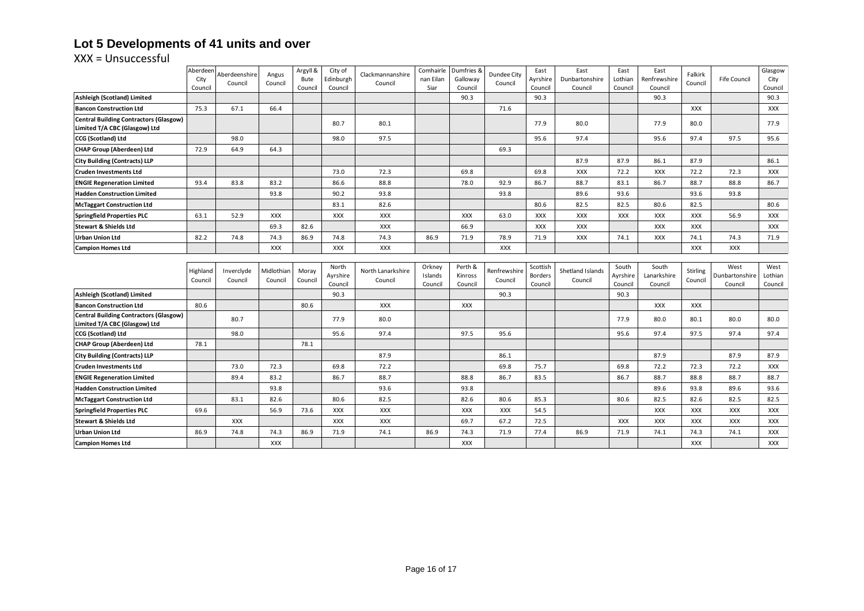# **Lot 5 Developments of 41 units and over**

|                                                                                | Aberdeen | Aberdeenshire | Angus      | Argyll & | City of         | Clackmannanshire  | Comhairle | Dumfries & | Dundee City  | East                      | East             | East            | East         | Falkirk    |                     | Glasgow    |
|--------------------------------------------------------------------------------|----------|---------------|------------|----------|-----------------|-------------------|-----------|------------|--------------|---------------------------|------------------|-----------------|--------------|------------|---------------------|------------|
|                                                                                | City     | Council       | Council    | Bute     | Edinburgh       | Council           | nan Eilan | Galloway   | Council      | Ayrshire                  | Dunbartonshire   | Lothian         | Renfrewshire | Council    | <b>Fife Council</b> | City       |
|                                                                                | Council  |               |            | Council  | Council         |                   | Siar      | Council    |              | Council                   | Council          | Council         | Council      |            |                     | Council    |
| Ashleigh (Scotland) Limited                                                    |          |               |            |          |                 |                   |           | 90.3       |              | 90.3                      |                  |                 | 90.3         |            |                     | 90.3       |
| <b>Bancon Construction Ltd</b>                                                 | 75.3     | 67.1          | 66.4       |          |                 |                   |           |            | 71.6         |                           |                  |                 |              | <b>XXX</b> |                     | <b>XXX</b> |
| <b>Central Building Contractors (Glasgow)</b><br>Limited T/A CBC (Glasgow) Ltd |          |               |            |          | 80.7            | 80.1              |           |            |              | 77.9                      | 80.0             |                 | 77.9         | 80.0       |                     | 77.9       |
| <b>CCG (Scotland) Ltd</b>                                                      |          | 98.0          |            |          | 98.0            | 97.5              |           |            |              | 95.6                      | 97.4             |                 | 95.6         | 97.4       | 97.5                | 95.6       |
| <b>CHAP Group (Aberdeen) Ltd</b>                                               | 72.9     | 64.9          | 64.3       |          |                 |                   |           |            | 69.3         |                           |                  |                 |              |            |                     |            |
| <b>City Building (Contracts) LLP</b>                                           |          |               |            |          |                 |                   |           |            |              |                           | 87.9             | 87.9            | 86.1         | 87.9       |                     | 86.1       |
| <b>Cruden Investments Ltd</b>                                                  |          |               |            |          | 73.0            | 72.3              |           | 69.8       |              | 69.8                      | <b>XXX</b>       | 72.2            | <b>XXX</b>   | 72.2       | 72.3                | XXX        |
| <b>ENGIE Regeneration Limited</b>                                              | 93.4     | 83.8          | 83.2       |          | 86.6            | 88.8              |           | 78.0       | 92.9         | 86.7                      | 88.7             | 83.1            | 86.7         | 88.7       | 88.8                | 86.7       |
| <b>Hadden Construction Limited</b>                                             |          |               | 93.8       |          | 90.2            | 93.8              |           |            | 93.8         |                           | 89.6             | 93.6            |              | 93.6       | 93.8                |            |
| <b>McTaggart Construction Ltd</b>                                              |          |               |            |          | 83.1            | 82.6              |           |            |              | 80.6                      | 82.5             | 82.5            | 80.6         | 82.5       |                     | 80.6       |
| <b>Springfield Properties PLC</b>                                              | 63.1     | 52.9          | <b>XXX</b> |          | <b>XXX</b>      | <b>XXX</b>        |           | <b>XXX</b> | 63.0         | <b>XXX</b>                | <b>XXX</b>       | <b>XXX</b>      | <b>XXX</b>   | <b>XXX</b> | 56.9                | <b>XXX</b> |
| <b>Stewart &amp; Shields Ltd</b>                                               |          |               | 69.3       | 82.6     |                 | <b>XXX</b>        |           | 66.9       |              | <b>XXX</b>                | <b>XXX</b>       |                 | <b>XXX</b>   | <b>XXX</b> |                     | <b>XXX</b> |
| <b>Urban Union Ltd</b>                                                         | 82.2     | 74.8          | 74.3       | 86.9     | 74.8            | 74.3              | 86.9      | 71.9       | 78.9         | 71.9                      | <b>XXX</b>       | 74.1            | <b>XXX</b>   | 74.1       | 74.3                | 71.9       |
| <b>Campion Homes Ltd</b>                                                       |          |               | <b>XXX</b> |          | <b>XXX</b>      | <b>XXX</b>        |           |            | <b>XXX</b>   |                           |                  |                 |              | <b>XXX</b> | <b>XXX</b>          |            |
|                                                                                |          |               |            |          |                 |                   |           |            |              |                           |                  |                 |              |            |                     |            |
|                                                                                | Highland | Inverclyde    | Midlothian | Moray    | North           | North Lanarkshire | Orkney    | Perth &    | Renfrewshire | Scottish                  | Shetland Islands | South           | South        | Stirling   | West                | West       |
|                                                                                | Council  | Council       | Council    | Council  | Ayrshire        | Council           | Islands   | Kinross    | Council      | <b>Borders</b><br>Council | Council          | Ayrshire        | Lanarkshire  | Council    | Dunbartonshire      | Lothian    |
| Ashleigh (Scotland) Limited                                                    |          |               |            |          | Council<br>90.3 |                   | Council   | Council    | 90.3         |                           |                  | Council<br>90.3 | Council      |            | Council             | Council    |
| <b>Bancon Construction Ltd</b>                                                 | 80.6     |               |            | 80.6     |                 | <b>XXX</b>        |           | <b>XXX</b> |              |                           |                  |                 | <b>XXX</b>   | <b>XXX</b> |                     |            |
| <b>Central Building Contractors (Glasgow)</b>                                  |          |               |            |          |                 |                   |           |            |              |                           |                  |                 |              |            |                     |            |
| Limited T/A CBC (Glasgow) Ltd                                                  |          | 80.7          |            |          | 77.9            | 80.0              |           |            |              |                           |                  | 77.9            | 80.0         | 80.1       | 80.0                | 80.0       |
| <b>CCG (Scotland) Ltd</b>                                                      |          | 98.0          |            |          | 95.6            | 97.4              |           | 97.5       | 95.6         |                           |                  | 95.6            | 97.4         | 97.5       | 97.4                | 97.4       |
| CHAP Group (Aberdeen) Ltd                                                      | 78.1     |               |            | 78.1     |                 |                   |           |            |              |                           |                  |                 |              |            |                     |            |
| <b>City Building (Contracts) LLP</b>                                           |          |               |            |          |                 | 87.9              |           |            | 86.1         |                           |                  |                 | 87.9         |            | 87.9                | 87.9       |
| <b>Cruden Investments Ltd</b>                                                  |          | 73.0          | 72.3       |          | 69.8            | 72.2              |           |            | 69.8         | 75.7                      |                  | 69.8            | 72.2         | 72.3       | 72.2                | <b>XXX</b> |
| <b>ENGIE Regeneration Limited</b>                                              |          | 89.4          | 83.2       |          | 86.7            | 88.7              |           | 88.8       | 86.7         | 83.5                      |                  | 86.7            | 88.7         | 88.8       | 88.7                | 88.7       |
| <b>Hadden Construction Limited</b>                                             |          |               | 93.8       |          |                 | 93.6              |           | 93.8       |              |                           |                  |                 | 89.6         | 93.8       | 89.6                | 93.6       |
| <b>McTaggart Construction Ltd</b>                                              |          | 83.1          | 82.6       |          | 80.6            | 82.5              |           | 82.6       | 80.6         | 85.3                      |                  | 80.6            | 82.5         | 82.6       | 82.5                | 82.5       |
| <b>Springfield Properties PLC</b>                                              | 69.6     |               | 56.9       | 73.6     | <b>XXX</b>      | <b>XXX</b>        |           | XXX        | XXX          | 54.5                      |                  |                 | XXX          | XXX        | <b>XXX</b>          | XXX        |
| <b>Stewart &amp; Shields Ltd</b>                                               |          | <b>XXX</b>    |            |          | <b>XXX</b>      | <b>XXX</b>        |           | 69.7       | 67.2         | 72.5                      |                  | <b>XXX</b>      | <b>XXX</b>   | <b>XXX</b> | <b>XXX</b>          | XXX        |
| <b>Urban Union Ltd</b>                                                         | 86.9     | 74.8          | 74.3       | 86.9     | 71.9            | 74.1              | 86.9      | 74.3       | 71.9         | 77.4                      | 86.9             | 71.9            | 74.1         | 74.3       | 74.1                | <b>XXX</b> |
| <b>Campion Homes Ltd</b>                                                       |          |               | <b>XXX</b> |          |                 |                   |           | <b>XXX</b> |              |                           |                  |                 |              | <b>XXX</b> |                     | <b>XXX</b> |